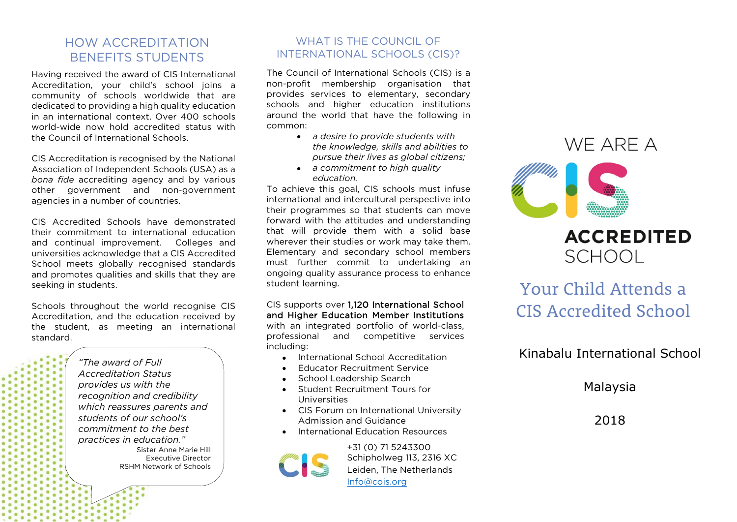#### HOW ACCREDITATION BENEFITS STUDENTS

Having received the award of CIS International Accreditation, your child's school joins a community of schools worldwide that are dedicated to providing a high quality education in an international context. Over 400 schools world-wide now hold accredited status with the Council of International Schools.

CIS Accreditation is recognised by the National Association of Independent Schools (USA) as a *bona fide* accrediting agency and by various other government and non-government agencies in a number of countries.

CIS Accredited Schools have demonstrated their commitment to international education and continual improvement. Colleges and universities acknowledge that a CIS Accredited School meets globally recognised standards and promotes qualities and skills that they are seeking in students.

Schools throughout the world recognise CIS Accreditation, and the education received by the student, as meeting an international standard.

> *"The award of Full Accreditation Status provides us with the recognition and credibility which reassures parents and students of our school's commitment to the best practices in education."* Sister Anne Marie Hill Executive Director RSHM Network of Schools

#### WHAT IS THE COUNCIL OF INTERNATIONAL SCHOOLS (CIS)?

The Council of International Schools (CIS) is a non-profit membership organisation that provides services to elementary, secondary schools and higher education institutions around the world that have the following in common:

- *a desire to provide students with the knowledge, skills and abilities to pursue their lives as global citizens;*
- *a commitment to high quality education.*

To achieve this goal, CIS schools must infuse international and intercultural perspective into their programmes so that students can move forward with the attitudes and understanding that will provide them with a solid base wherever their studies or work may take them. Elementary and secondary school members must further commit to undertaking an ongoing quality assurance process to enhance student learning.

CIS supports over 1,120 International School and Higher Education Member Institutions with an integrated portfolio of world-class. professional and competitive services including:

- International School Accreditation
- Educator Recruitment Service
- School Leadership Search
- Student Recruitment Tours for Universities
- CIS Forum on International University Admission and Guidance
- International Education Resources

+31 (0) 71 5243300 Schipholweg 113, 2316 XC Leiden, The Netherlands [Info@cois.org](mailto:Info@cois.org)

# WF ARF A

# **ACCREDITED SCHOOL**

# Your Child Attends a CIS Accredited School

### Kinabalu International School

#### Malaysia

2018